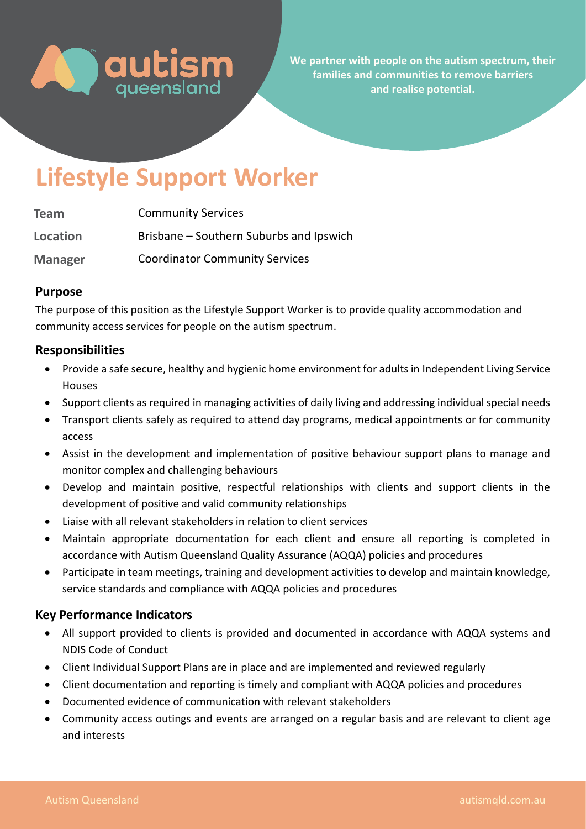

**We partner with people on the autism spectrum, their families and communities to remove barriers and realise potential.** 

# **Lifestyle Support Worker**

| Team            | <b>Community Services</b>               |
|-----------------|-----------------------------------------|
| <b>Location</b> | Brisbane – Southern Suburbs and Ipswich |
| <b>Manager</b>  | <b>Coordinator Community Services</b>   |

### **Purpose**

The purpose of this position as the Lifestyle Support Worker is to provide quality accommodation and community access services for people on the autism spectrum.

# **Responsibilities**

- Provide a safe secure, healthy and hygienic home environment for adults in Independent Living Service Houses
- Support clients as required in managing activities of daily living and addressing individual special needs
- Transport clients safely as required to attend day programs, medical appointments or for community access
- Assist in the development and implementation of positive behaviour support plans to manage and monitor complex and challenging behaviours
- Develop and maintain positive, respectful relationships with clients and support clients in the development of positive and valid community relationships
- Liaise with all relevant stakeholders in relation to client services
- Maintain appropriate documentation for each client and ensure all reporting is completed in accordance with Autism Queensland Quality Assurance (AQQA) policies and procedures
- Participate in team meetings, training and development activities to develop and maintain knowledge, service standards and compliance with AQQA policies and procedures

# **Key Performance Indicators**

- All support provided to clients is provided and documented in accordance with AQQA systems and NDIS Code of Conduct
- Client Individual Support Plans are in place and are implemented and reviewed regularly
- Client documentation and reporting is timely and compliant with AQQA policies and procedures
- Documented evidence of communication with relevant stakeholders
- Community access outings and events are arranged on a regular basis and are relevant to client age and interests